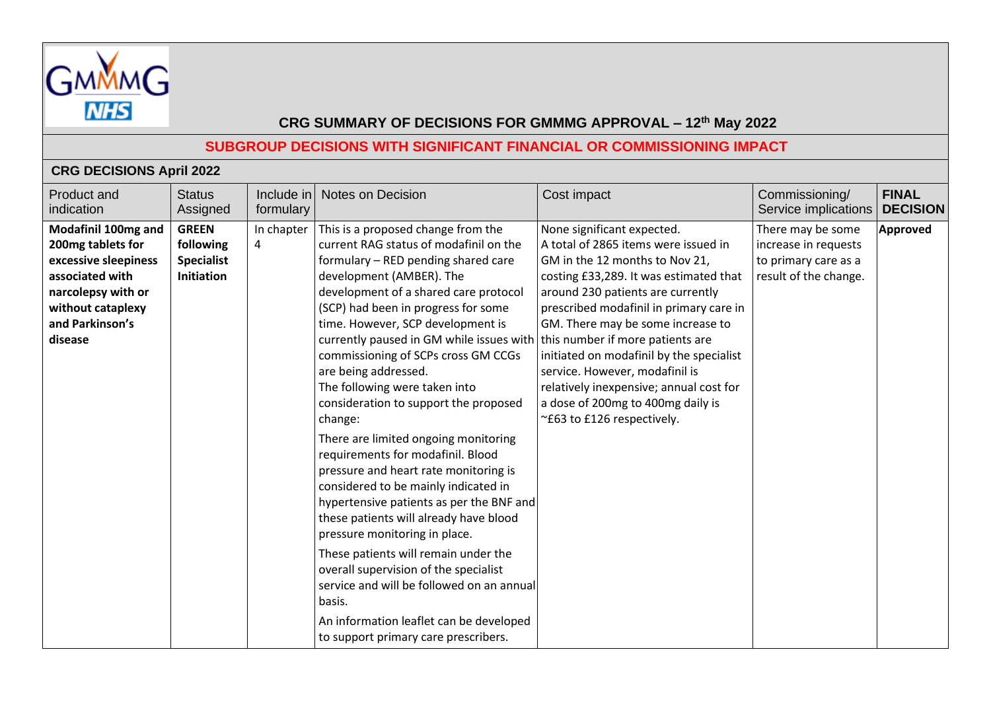

## **SUBGROUP DECISIONS WITH SIGNIFICANT FINANCIAL OR COMMISSIONING IMPACT**

## **CRG DECISIONS April 2022**

| Product and<br>indication                                                                                                                                    | <b>Status</b><br>Assigned                                    | Include in<br>formulary | <b>Notes on Decision</b>                                                                                                                                                                                                                                                                                                                                                                                                                                                                                                | Cost impact                                                                                                                                                                                                                                                                                                                                                                                                                                                           | Commissioning/<br>Service implications                                                     | <b>FINAL</b><br><b>DECISION</b> |
|--------------------------------------------------------------------------------------------------------------------------------------------------------------|--------------------------------------------------------------|-------------------------|-------------------------------------------------------------------------------------------------------------------------------------------------------------------------------------------------------------------------------------------------------------------------------------------------------------------------------------------------------------------------------------------------------------------------------------------------------------------------------------------------------------------------|-----------------------------------------------------------------------------------------------------------------------------------------------------------------------------------------------------------------------------------------------------------------------------------------------------------------------------------------------------------------------------------------------------------------------------------------------------------------------|--------------------------------------------------------------------------------------------|---------------------------------|
| Modafinil 100mg and<br>200mg tablets for<br>excessive sleepiness<br>associated with<br>narcolepsy with or<br>without cataplexy<br>and Parkinson's<br>disease | <b>GREEN</b><br>following<br><b>Specialist</b><br>Initiation | In chapter<br>4         | This is a proposed change from the<br>current RAG status of modafinil on the<br>formulary - RED pending shared care<br>development (AMBER). The<br>development of a shared care protocol<br>(SCP) had been in progress for some<br>time. However, SCP development is<br>currently paused in GM while issues with<br>commissioning of SCPs cross GM CCGs<br>are being addressed.<br>The following were taken into<br>consideration to support the proposed                                                               | None significant expected.<br>A total of 2865 items were issued in<br>GM in the 12 months to Nov 21,<br>costing £33,289. It was estimated that<br>around 230 patients are currently<br>prescribed modafinil in primary care in<br>GM. There may be some increase to<br>this number if more patients are<br>initiated on modafinil by the specialist<br>service. However, modafinil is<br>relatively inexpensive; annual cost for<br>a dose of 200mg to 400mg daily is | There may be some<br>increase in requests<br>to primary care as a<br>result of the change. | Approved                        |
|                                                                                                                                                              |                                                              |                         | change:<br>There are limited ongoing monitoring<br>requirements for modafinil. Blood<br>pressure and heart rate monitoring is<br>considered to be mainly indicated in<br>hypertensive patients as per the BNF and<br>these patients will already have blood<br>pressure monitoring in place.<br>These patients will remain under the<br>overall supervision of the specialist<br>service and will be followed on an annual<br>basis.<br>An information leaflet can be developed<br>to support primary care prescribers. | ~£63 to £126 respectively.                                                                                                                                                                                                                                                                                                                                                                                                                                            |                                                                                            |                                 |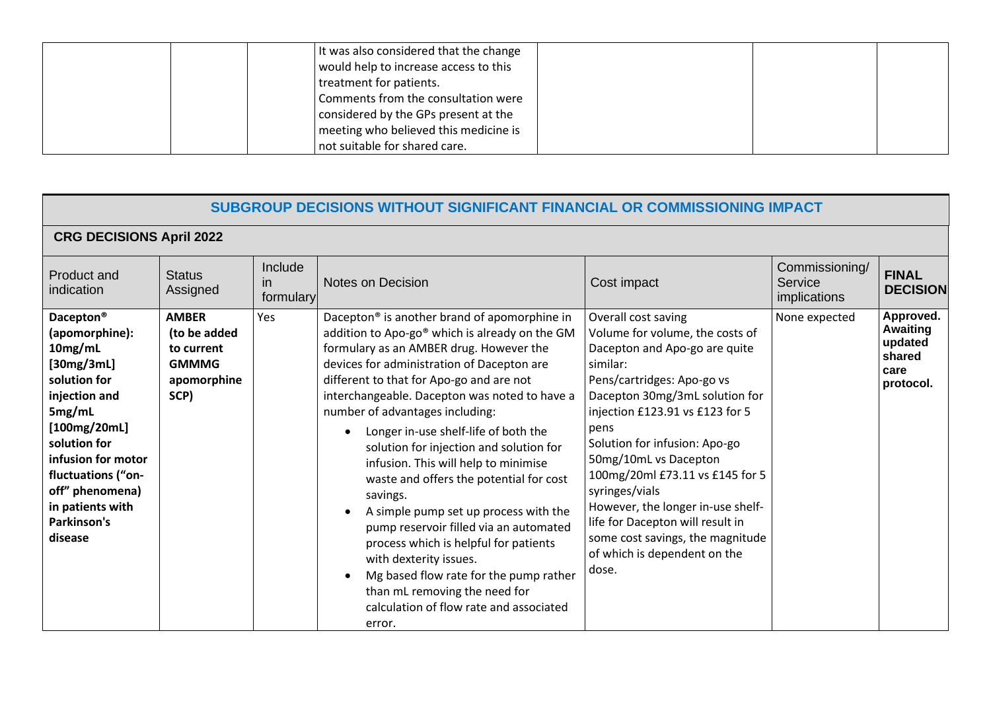|  | It was also considered that the change |  |  |
|--|----------------------------------------|--|--|
|  | would help to increase access to this  |  |  |
|  | treatment for patients.                |  |  |
|  | Comments from the consultation were    |  |  |
|  | considered by the GPs present at the   |  |  |
|  | meeting who believed this medicine is  |  |  |
|  | not suitable for shared care.          |  |  |

|                                                                                                                                                                                                                                                          | SUBGROUP DECISIONS WITHOUT SIGNIFICANT FINANCIAL OR COMMISSIONING IMPACT          |                             |                                                                                                                                                                                                                                                                                                                                                                                                                                                                                                                                                                                                                                                                                                                                                                                                                          |                                                                                                                                                                                                                                                                                                                                                                                                                                                                                     |                                           |                                                                        |  |
|----------------------------------------------------------------------------------------------------------------------------------------------------------------------------------------------------------------------------------------------------------|-----------------------------------------------------------------------------------|-----------------------------|--------------------------------------------------------------------------------------------------------------------------------------------------------------------------------------------------------------------------------------------------------------------------------------------------------------------------------------------------------------------------------------------------------------------------------------------------------------------------------------------------------------------------------------------------------------------------------------------------------------------------------------------------------------------------------------------------------------------------------------------------------------------------------------------------------------------------|-------------------------------------------------------------------------------------------------------------------------------------------------------------------------------------------------------------------------------------------------------------------------------------------------------------------------------------------------------------------------------------------------------------------------------------------------------------------------------------|-------------------------------------------|------------------------------------------------------------------------|--|
|                                                                                                                                                                                                                                                          | <b>CRG DECISIONS April 2022</b>                                                   |                             |                                                                                                                                                                                                                                                                                                                                                                                                                                                                                                                                                                                                                                                                                                                                                                                                                          |                                                                                                                                                                                                                                                                                                                                                                                                                                                                                     |                                           |                                                                        |  |
| Product and<br>indication                                                                                                                                                                                                                                | <b>Status</b><br>Assigned                                                         | Include<br>in.<br>formulary | <b>Notes on Decision</b>                                                                                                                                                                                                                                                                                                                                                                                                                                                                                                                                                                                                                                                                                                                                                                                                 | Cost impact                                                                                                                                                                                                                                                                                                                                                                                                                                                                         | Commissioning/<br>Service<br>implications | <b>FINAL</b><br><b>DECISION</b>                                        |  |
| Dacepton <sup>®</sup><br>(apomorphine):<br>10mg/mL<br>[30mg/3mL]<br>solution for<br>injection and<br>5mg/mL<br>[100mg/20mL]<br>solution for<br>infusion for motor<br>fluctuations ("on-<br>off" phenomena)<br>in patients with<br>Parkinson's<br>disease | <b>AMBER</b><br>(to be added<br>to current<br><b>GMMMG</b><br>apomorphine<br>SCP) | Yes                         | Dacepton <sup>®</sup> is another brand of apomorphine in<br>addition to Apo-go® which is already on the GM<br>formulary as an AMBER drug. However the<br>devices for administration of Dacepton are<br>different to that for Apo-go and are not<br>interchangeable. Dacepton was noted to have a<br>number of advantages including:<br>Longer in-use shelf-life of both the<br>$\bullet$<br>solution for injection and solution for<br>infusion. This will help to minimise<br>waste and offers the potential for cost<br>savings.<br>A simple pump set up process with the<br>pump reservoir filled via an automated<br>process which is helpful for patients<br>with dexterity issues.<br>Mg based flow rate for the pump rather<br>than mL removing the need for<br>calculation of flow rate and associated<br>error. | Overall cost saving<br>Volume for volume, the costs of<br>Dacepton and Apo-go are quite<br>similar:<br>Pens/cartridges: Apo-go vs<br>Dacepton 30mg/3mL solution for<br>injection £123.91 vs £123 for 5<br>pens<br>Solution for infusion: Apo-go<br>50mg/10mL vs Dacepton<br>100mg/20ml £73.11 vs £145 for 5<br>syringes/vials<br>However, the longer in-use shelf-<br>life for Dacepton will result in<br>some cost savings, the magnitude<br>of which is dependent on the<br>dose. | None expected                             | Approved.<br><b>Awaiting</b><br>updated<br>shared<br>care<br>protocol. |  |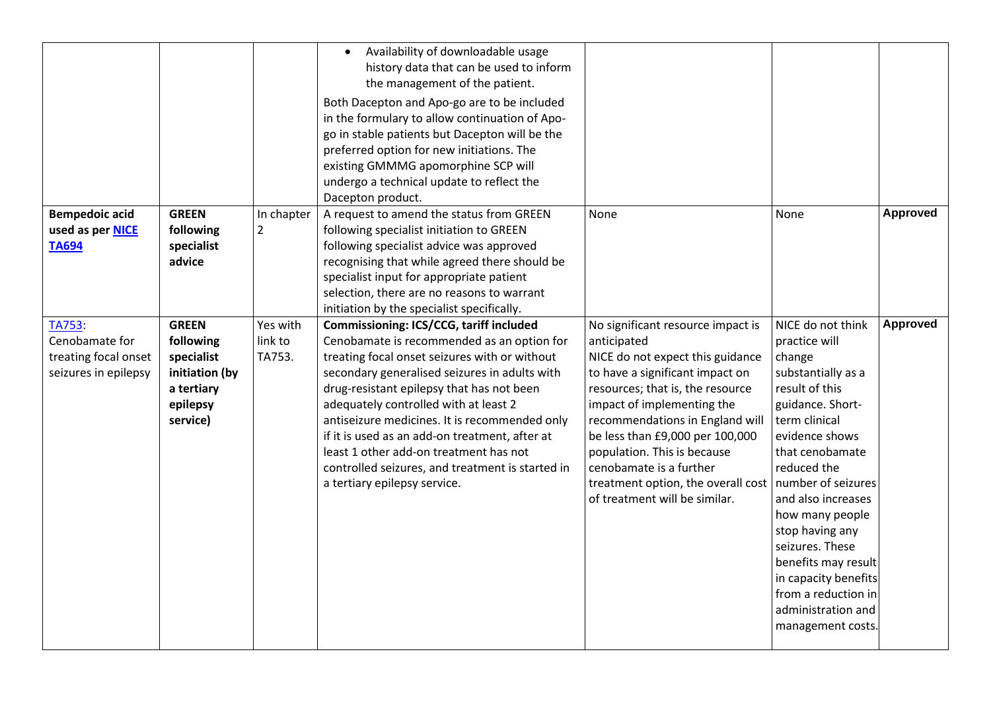|                                                                          |                                                                                                 |                               | Availability of downloadable usage<br>history data that can be used to inform<br>the management of the patient.<br>Both Dacepton and Apo-go are to be included<br>in the formulary to allow continuation of Apo-<br>go in stable patients but Dacepton will be the<br>preferred option for new initiations. The<br>existing GMMMG apomorphine SCP will<br>undergo a technical update to reflect the                                                                                                            |                                                                                                                                                                                                                                                                                                                                                                                                  |                                                                                                                                                                                                                                                                                                                                                                                                     |                 |
|--------------------------------------------------------------------------|-------------------------------------------------------------------------------------------------|-------------------------------|----------------------------------------------------------------------------------------------------------------------------------------------------------------------------------------------------------------------------------------------------------------------------------------------------------------------------------------------------------------------------------------------------------------------------------------------------------------------------------------------------------------|--------------------------------------------------------------------------------------------------------------------------------------------------------------------------------------------------------------------------------------------------------------------------------------------------------------------------------------------------------------------------------------------------|-----------------------------------------------------------------------------------------------------------------------------------------------------------------------------------------------------------------------------------------------------------------------------------------------------------------------------------------------------------------------------------------------------|-----------------|
|                                                                          |                                                                                                 |                               | Dacepton product.                                                                                                                                                                                                                                                                                                                                                                                                                                                                                              |                                                                                                                                                                                                                                                                                                                                                                                                  |                                                                                                                                                                                                                                                                                                                                                                                                     |                 |
| <b>Bempedoic acid</b><br>used as per <b>NICE</b><br><b>TA694</b>         | <b>GREEN</b><br>following<br>specialist<br>advice                                               | In chapter<br>$\overline{2}$  | A request to amend the status from GREEN<br>following specialist initiation to GREEN<br>following specialist advice was approved<br>recognising that while agreed there should be<br>specialist input for appropriate patient<br>selection, there are no reasons to warrant<br>initiation by the specialist specifically.                                                                                                                                                                                      | None                                                                                                                                                                                                                                                                                                                                                                                             | None                                                                                                                                                                                                                                                                                                                                                                                                | <b>Approved</b> |
| TA753:<br>Cenobamate for<br>treating focal onset<br>seizures in epilepsy | <b>GREEN</b><br>following<br>specialist<br>initiation (by<br>a tertiary<br>epilepsy<br>service) | Yes with<br>link to<br>TA753. | Commissioning: ICS/CCG, tariff included<br>Cenobamate is recommended as an option for<br>treating focal onset seizures with or without<br>secondary generalised seizures in adults with<br>drug-resistant epilepsy that has not been<br>adequately controlled with at least 2<br>antiseizure medicines. It is recommended only<br>if it is used as an add-on treatment, after at<br>least 1 other add-on treatment has not<br>controlled seizures, and treatment is started in<br>a tertiary epilepsy service. | No significant resource impact is<br>anticipated<br>NICE do not expect this guidance<br>to have a significant impact on<br>resources; that is, the resource<br>impact of implementing the<br>recommendations in England will<br>be less than £9,000 per 100,000<br>population. This is because<br>cenobamate is a further<br>treatment option, the overall cost<br>of treatment will be similar. | NICE do not think<br>practice will<br>change<br>substantially as a<br>result of this<br>guidance. Short-<br>term clinical<br>evidence shows<br>that cenobamate<br>reduced the<br>number of seizures<br>and also increases<br>how many people<br>stop having any<br>seizures. These<br>benefits may result<br>in capacity benefits<br>from a reduction in<br>administration and<br>management costs. | <b>Approved</b> |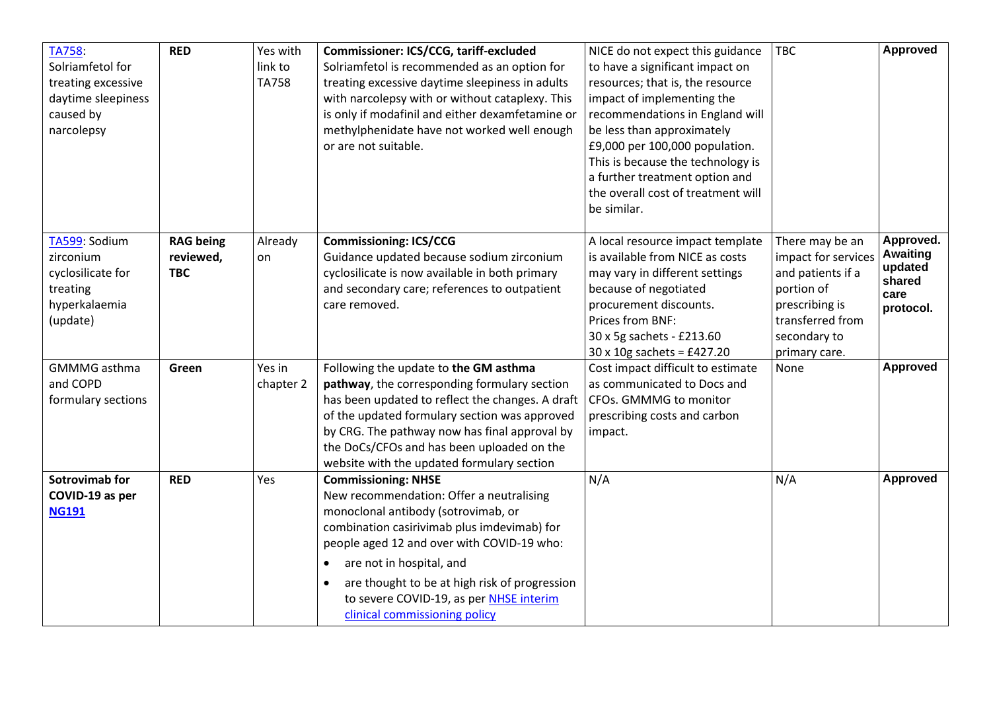| <b>TA758:</b><br>Solriamfetol for<br>treating excessive<br>daytime sleepiness<br>caused by<br>narcolepsy | <b>RED</b>                                  | Yes with<br>link to<br><b>TA758</b> | Commissioner: ICS/CCG, tariff-excluded<br>Solriamfetol is recommended as an option for<br>treating excessive daytime sleepiness in adults<br>with narcolepsy with or without cataplexy. This<br>is only if modafinil and either dexamfetamine or<br>methylphenidate have not worked well enough<br>or are not suitable.                                                                       | NICE do not expect this guidance<br>to have a significant impact on<br>resources; that is, the resource<br>impact of implementing the<br>recommendations in England will<br>be less than approximately<br>£9,000 per 100,000 population.<br>This is because the technology is<br>a further treatment option and<br>the overall cost of treatment will<br>be similar. | <b>TBC</b>                                                                                                                                       | <b>Approved</b>                                                        |
|----------------------------------------------------------------------------------------------------------|---------------------------------------------|-------------------------------------|-----------------------------------------------------------------------------------------------------------------------------------------------------------------------------------------------------------------------------------------------------------------------------------------------------------------------------------------------------------------------------------------------|----------------------------------------------------------------------------------------------------------------------------------------------------------------------------------------------------------------------------------------------------------------------------------------------------------------------------------------------------------------------|--------------------------------------------------------------------------------------------------------------------------------------------------|------------------------------------------------------------------------|
| TA599: Sodium<br>zirconium<br>cyclosilicate for<br>treating<br>hyperkalaemia<br>(update)                 | <b>RAG being</b><br>reviewed,<br><b>TBC</b> | Already<br>on                       | <b>Commissioning: ICS/CCG</b><br>Guidance updated because sodium zirconium<br>cyclosilicate is now available in both primary<br>and secondary care; references to outpatient<br>care removed.                                                                                                                                                                                                 | A local resource impact template<br>is available from NICE as costs<br>may vary in different settings<br>because of negotiated<br>procurement discounts.<br>Prices from BNF:<br>30 x 5g sachets - £213.60<br>$30 \times 10$ g sachets = £427.20                                                                                                                      | There may be an<br>impact for services<br>and patients if a<br>portion of<br>prescribing is<br>transferred from<br>secondary to<br>primary care. | Approved.<br><b>Awaiting</b><br>updated<br>shared<br>care<br>protocol. |
| <b>GMMMG</b> asthma<br>and COPD<br>formulary sections                                                    | Green                                       | Yes in<br>chapter 2                 | Following the update to the GM asthma<br>pathway, the corresponding formulary section<br>has been updated to reflect the changes. A draft<br>of the updated formulary section was approved<br>by CRG. The pathway now has final approval by<br>the DoCs/CFOs and has been uploaded on the<br>website with the updated formulary section                                                       | Cost impact difficult to estimate<br>as communicated to Docs and<br>CFOs. GMMMG to monitor<br>prescribing costs and carbon<br>impact.                                                                                                                                                                                                                                | None                                                                                                                                             | <b>Approved</b>                                                        |
| Sotrovimab for<br>COVID-19 as per<br><b>NG191</b>                                                        | <b>RED</b>                                  | Yes                                 | <b>Commissioning: NHSE</b><br>New recommendation: Offer a neutralising<br>monoclonal antibody (sotrovimab, or<br>combination casirivimab plus imdevimab) for<br>people aged 12 and over with COVID-19 who:<br>are not in hospital, and<br>$\bullet$<br>are thought to be at high risk of progression<br>$\bullet$<br>to severe COVID-19, as per NHSE interim<br>clinical commissioning policy | N/A                                                                                                                                                                                                                                                                                                                                                                  | N/A                                                                                                                                              | <b>Approved</b>                                                        |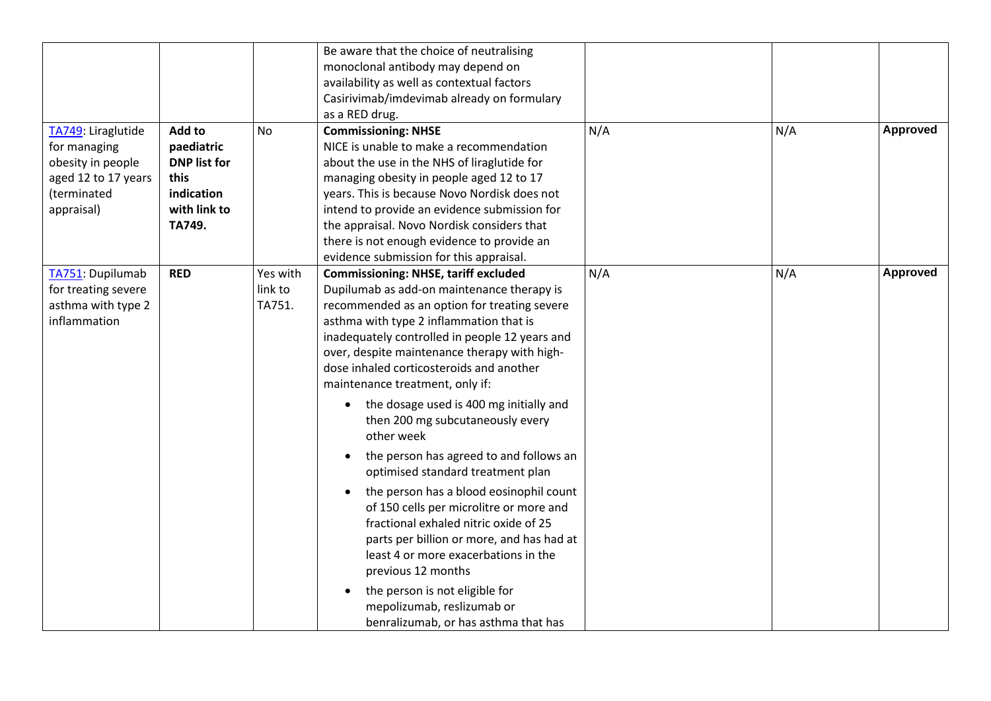| TA749: Liraglutide                                                                    | Add to                                                                                   | No                            | Be aware that the choice of neutralising<br>monoclonal antibody may depend on<br>availability as well as contextual factors<br>Casirivimab/imdevimab already on formulary<br>as a RED drug.<br><b>Commissioning: NHSE</b>                                                                                                                                                                                                                                                                                                                                                                                                                                                                                                                                                                                                                                                                            | N/A | N/A | <b>Approved</b> |
|---------------------------------------------------------------------------------------|------------------------------------------------------------------------------------------|-------------------------------|------------------------------------------------------------------------------------------------------------------------------------------------------------------------------------------------------------------------------------------------------------------------------------------------------------------------------------------------------------------------------------------------------------------------------------------------------------------------------------------------------------------------------------------------------------------------------------------------------------------------------------------------------------------------------------------------------------------------------------------------------------------------------------------------------------------------------------------------------------------------------------------------------|-----|-----|-----------------|
| for managing<br>obesity in people<br>aged 12 to 17 years<br>(terminated<br>appraisal) | paediatric<br><b>DNP list for</b><br><b>this</b><br>indication<br>with link to<br>TA749. |                               | NICE is unable to make a recommendation<br>about the use in the NHS of liraglutide for<br>managing obesity in people aged 12 to 17<br>years. This is because Novo Nordisk does not<br>intend to provide an evidence submission for<br>the appraisal. Novo Nordisk considers that<br>there is not enough evidence to provide an<br>evidence submission for this appraisal.                                                                                                                                                                                                                                                                                                                                                                                                                                                                                                                            |     |     |                 |
| TA751: Dupilumab<br>for treating severe<br>asthma with type 2<br>inflammation         | <b>RED</b>                                                                               | Yes with<br>link to<br>TA751. | <b>Commissioning: NHSE, tariff excluded</b><br>Dupilumab as add-on maintenance therapy is<br>recommended as an option for treating severe<br>asthma with type 2 inflammation that is<br>inadequately controlled in people 12 years and<br>over, despite maintenance therapy with high-<br>dose inhaled corticosteroids and another<br>maintenance treatment, only if:<br>the dosage used is 400 mg initially and<br>then 200 mg subcutaneously every<br>other week<br>the person has agreed to and follows an<br>optimised standard treatment plan<br>the person has a blood eosinophil count<br>of 150 cells per microlitre or more and<br>fractional exhaled nitric oxide of 25<br>parts per billion or more, and has had at<br>least 4 or more exacerbations in the<br>previous 12 months<br>the person is not eligible for<br>mepolizumab, reslizumab or<br>benralizumab, or has asthma that has | N/A | N/A | <b>Approved</b> |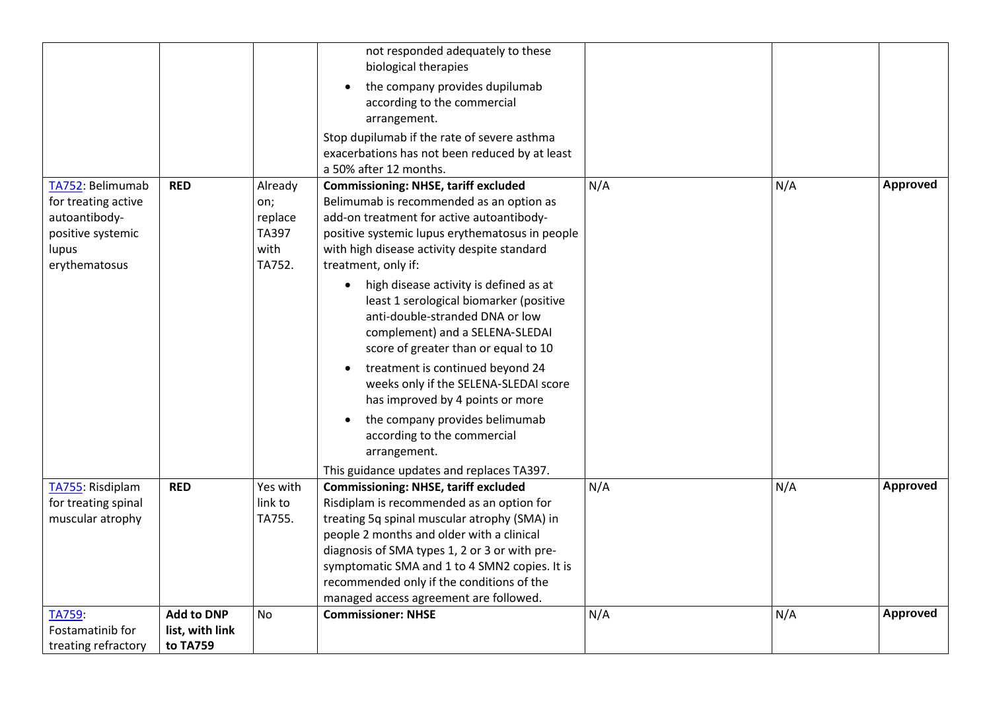|                                                                                                         |                                                  |                                                      | not responded adequately to these<br>biological therapies<br>the company provides dupilumab<br>according to the commercial<br>arrangement.<br>Stop dupilumab if the rate of severe asthma<br>exacerbations has not been reduced by at least                                                                                                                                                                                                                     |     |     |                 |
|---------------------------------------------------------------------------------------------------------|--------------------------------------------------|------------------------------------------------------|-----------------------------------------------------------------------------------------------------------------------------------------------------------------------------------------------------------------------------------------------------------------------------------------------------------------------------------------------------------------------------------------------------------------------------------------------------------------|-----|-----|-----------------|
| TA752: Belimumab<br>for treating active<br>autoantibody-<br>positive systemic<br>lupus<br>erythematosus | <b>RED</b>                                       | Already<br>on;<br>replace<br>TA397<br>with<br>TA752. | a 50% after 12 months.<br><b>Commissioning: NHSE, tariff excluded</b><br>Belimumab is recommended as an option as<br>add-on treatment for active autoantibody-<br>positive systemic lupus erythematosus in people<br>with high disease activity despite standard<br>treatment, only if:<br>high disease activity is defined as at<br>$\bullet$<br>least 1 serological biomarker (positive<br>anti-double-stranded DNA or low<br>complement) and a SELENA-SLEDAI | N/A | N/A | Approved        |
|                                                                                                         |                                                  |                                                      | score of greater than or equal to 10<br>treatment is continued beyond 24<br>weeks only if the SELENA-SLEDAI score<br>has improved by 4 points or more<br>the company provides belimumab<br>according to the commercial<br>arrangement.<br>This guidance updates and replaces TA397.                                                                                                                                                                             |     |     |                 |
| TA755: Risdiplam<br>for treating spinal<br>muscular atrophy                                             | <b>RED</b>                                       | Yes with<br>link to<br>TA755.                        | <b>Commissioning: NHSE, tariff excluded</b><br>Risdiplam is recommended as an option for<br>treating 5q spinal muscular atrophy (SMA) in<br>people 2 months and older with a clinical<br>diagnosis of SMA types 1, 2 or 3 or with pre-<br>symptomatic SMA and 1 to 4 SMN2 copies. It is<br>recommended only if the conditions of the<br>managed access agreement are followed.                                                                                  | N/A | N/A | <b>Approved</b> |
| TA759:<br>Fostamatinib for<br>treating refractory                                                       | <b>Add to DNP</b><br>list, with link<br>to TA759 | No                                                   | <b>Commissioner: NHSE</b>                                                                                                                                                                                                                                                                                                                                                                                                                                       | N/A | N/A | <b>Approved</b> |